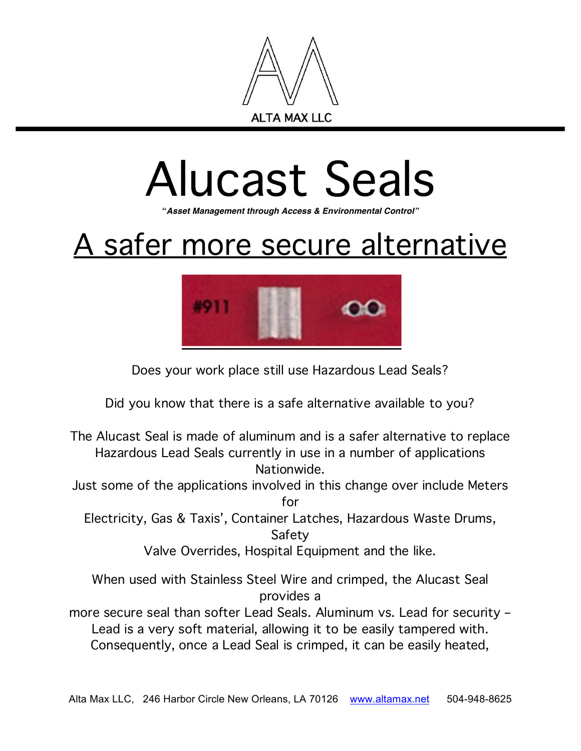

## Alucast Seals

**"***Asset Management through Access & Environmental Control"*

## A safer more secure alternative



Does your work place still use Hazardous Lead Seals?

Did you know that there is a safe alternative available to you?

The Alucast Seal is made of aluminum and is a safer alternative to replace Hazardous Lead Seals currently in use in a number of applications Nationwide.

Just some of the applications involved in this change over include Meters for

Electricity, Gas & Taxis', Container Latches, Hazardous Waste Drums, Safety

Valve Overrides, Hospital Equipment and the like.

When used with Stainless Steel Wire and crimped, the Alucast Seal provides a

more secure seal than softer Lead Seals. Aluminum vs. Lead for security – Lead is a very soft material, allowing it to be easily tampered with. Consequently, once a Lead Seal is crimped, it can be easily heated,